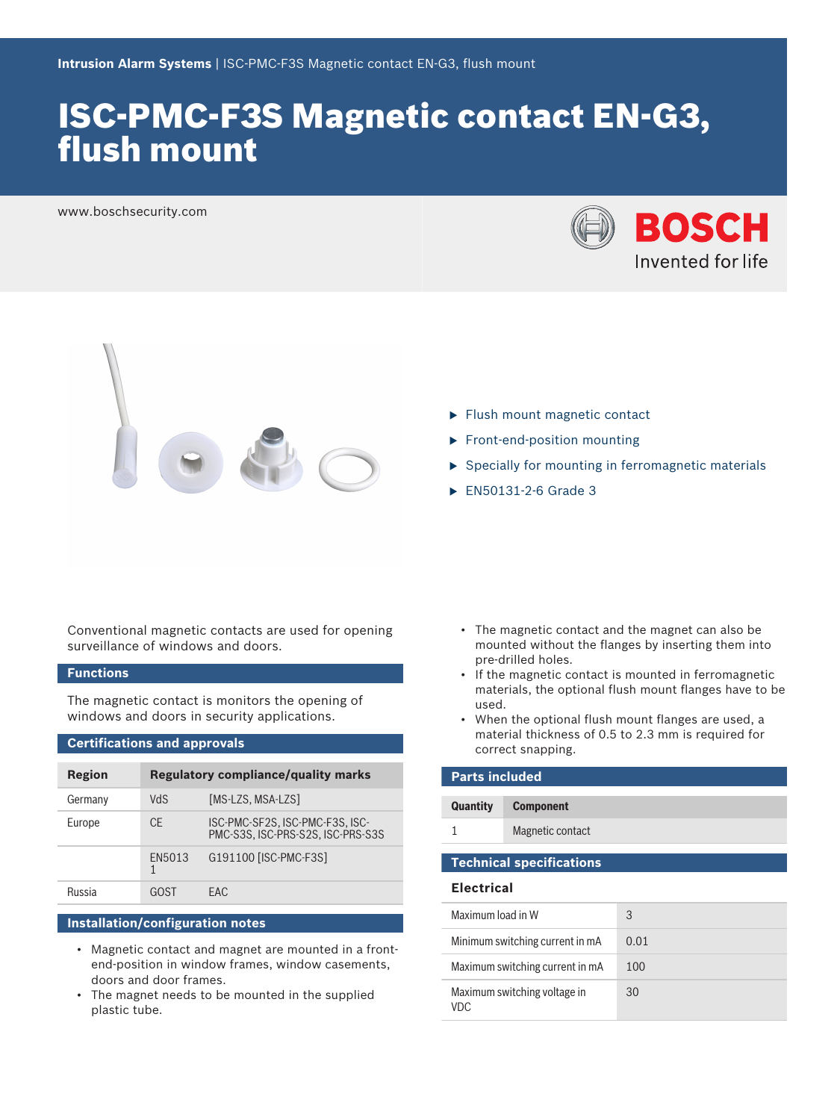# ISC-PMC-F3S Magnetic contact EN-G3, flush mount

www.boschsecurity.com





- $\blacktriangleright$  Flush mount magnetic contact
- $\blacktriangleright$  Front-end-position mounting
- $\triangleright$  Specially for mounting in ferromagnetic materials
- $\blacktriangleright$  EN50131-2-6 Grade 3

Conventional magnetic contacts are used for opening surveillance of windows and doors.

# **Functions**

The magnetic contact is monitors the opening of windows and doors in security applications.

### **Certifications and approvals**

| <b>Region</b> | <b>Regulatory compliance/quality marks</b> |                                                                      |
|---------------|--------------------------------------------|----------------------------------------------------------------------|
| Germany       | VdS                                        | [MS-LZS, MSA-LZS]                                                    |
| Europe        | <b>CE</b>                                  | ISC-PMC-SF2S, ISC-PMC-F3S, ISC-<br>PMC-S3S. ISC-PRS-S2S. ISC-PRS-S3S |
|               | EN5013                                     | G191100 [ISC-PMC-F3S]                                                |
| Russia        | GOST                                       | FAC.                                                                 |

# **Installation/configuration notes**

- Magnetic contact and magnet are mounted in a frontend-position in window frames, window casements, doors and door frames.
- The magnet needs to be mounted in the supplied plastic tube.
- The magnetic contact and the magnet can also be mounted without the flanges by inserting them into pre-drilled holes.
- If the magnetic contact is mounted in ferromagnetic materials, the optional flush mount flanges have to be used.
- When the optional flush mount flanges are used, a material thickness of 0.5 to 2.3 mm is required for correct snapping.

| <b>Parts included</b> |                  |  |
|-----------------------|------------------|--|
| <b>Quantity</b>       | <b>Component</b> |  |
|                       | Magnetic contact |  |
|                       |                  |  |

# **Technical specifications**

#### **Electrical**

| Maximum load in W                    | 3    |
|--------------------------------------|------|
| Minimum switching current in mA      | 0.01 |
| Maximum switching current in mA      | 100  |
| Maximum switching voltage in<br>VDC. | 30   |